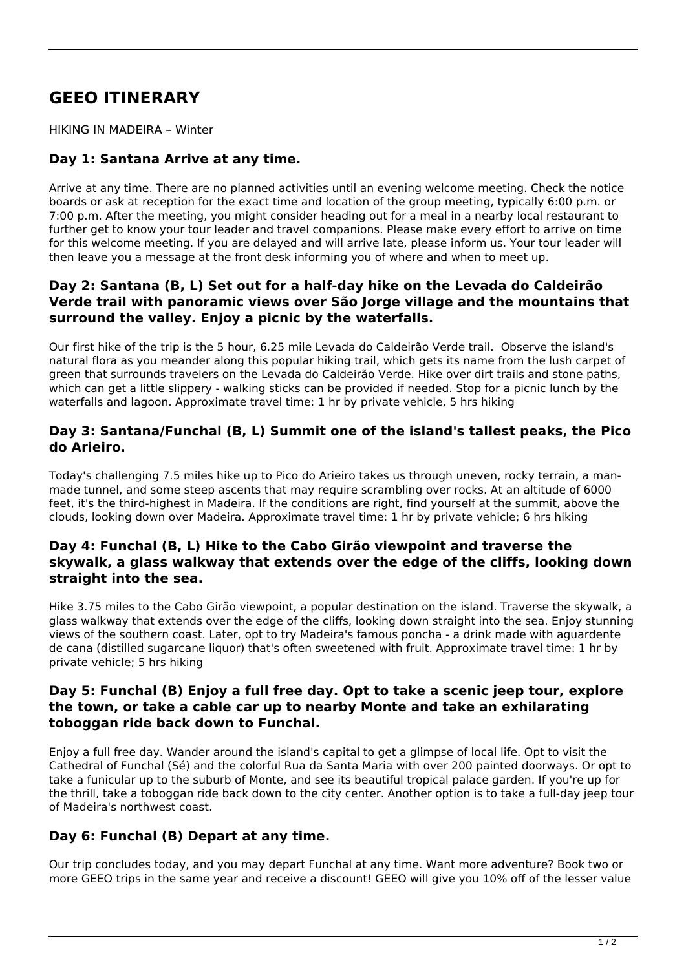# **GEEO ITINERARY**

HIKING IN MADEIRA – Winter

# **Day 1: Santana Arrive at any time.**

Arrive at any time. There are no planned activities until an evening welcome meeting. Check the notice boards or ask at reception for the exact time and location of the group meeting, typically 6:00 p.m. or 7:00 p.m. After the meeting, you might consider heading out for a meal in a nearby local restaurant to further get to know your tour leader and travel companions. Please make every effort to arrive on time for this welcome meeting. If you are delayed and will arrive late, please inform us. Your tour leader will then leave you a message at the front desk informing you of where and when to meet up.

# **Day 2: Santana (B, L) Set out for a half-day hike on the Levada do Caldeirão Verde trail with panoramic views over São Jorge village and the mountains that surround the valley. Enjoy a picnic by the waterfalls.**

Our first hike of the trip is the 5 hour, 6.25 mile Levada do Caldeirão Verde trail. Observe the island's natural flora as you meander along this popular hiking trail, which gets its name from the lush carpet of green that surrounds travelers on the Levada do Caldeirão Verde. Hike over dirt trails and stone paths, which can get a little slippery - walking sticks can be provided if needed. Stop for a picnic lunch by the waterfalls and lagoon. Approximate travel time: 1 hr by private vehicle, 5 hrs hiking

#### **Day 3: Santana/Funchal (B, L) Summit one of the island's tallest peaks, the Pico do Arieiro.**

Today's challenging 7.5 miles hike up to Pico do Arieiro takes us through uneven, rocky terrain, a manmade tunnel, and some steep ascents that may require scrambling over rocks. At an altitude of 6000 feet, it's the third-highest in Madeira. If the conditions are right, find yourself at the summit, above the clouds, looking down over Madeira. Approximate travel time: 1 hr by private vehicle; 6 hrs hiking

# **Day 4: Funchal (B, L) Hike to the Cabo Girão viewpoint and traverse the skywalk, a glass walkway that extends over the edge of the cliffs, looking down straight into the sea.**

Hike 3.75 miles to the Cabo Girão viewpoint, a popular destination on the island. Traverse the skywalk, a glass walkway that extends over the edge of the cliffs, looking down straight into the sea. Enjoy stunning views of the southern coast. Later, opt to try Madeira's famous poncha - a drink made with aguardente de cana (distilled sugarcane liquor) that's often sweetened with fruit. Approximate travel time: 1 hr by private vehicle; 5 hrs hiking

# **Day 5: Funchal (B) Enjoy a full free day. Opt to take a scenic jeep tour, explore the town, or take a cable car up to nearby Monte and take an exhilarating toboggan ride back down to Funchal.**

Enjoy a full free day. Wander around the island's capital to get a glimpse of local life. Opt to visit the Cathedral of Funchal (Sé) and the colorful Rua da Santa Maria with over 200 painted doorways. Or opt to take a funicular up to the suburb of Monte, and see its beautiful tropical palace garden. If you're up for the thrill, take a toboggan ride back down to the city center. Another option is to take a full-day jeep tour of Madeira's northwest coast.

# **Day 6: Funchal (B) Depart at any time.**

Our trip concludes today, and you may depart Funchal at any time. Want more adventure? Book two or more GEEO trips in the same year and receive a discount! GEEO will give you 10% off of the lesser value